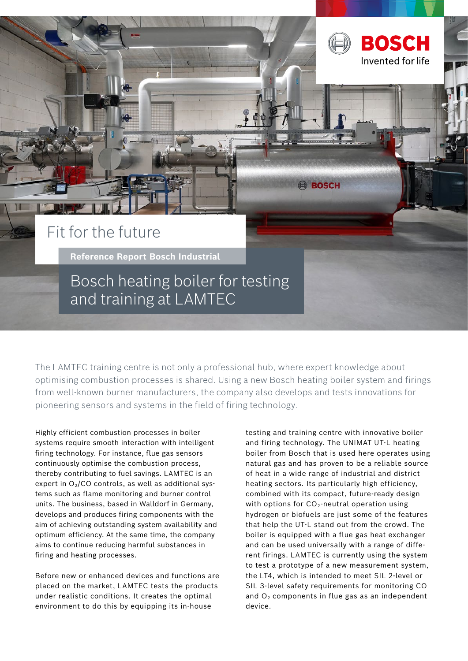

## Fit for the future

**Reference Report Bosch Industrial** 

Bosch heating boiler for testing and training at LAMTEC

The LAMTEC training centre is not only a professional hub, where expert knowledge about optimising combustion processes is shared. Using a new Bosch heating boiler system and firings from well-known burner manufacturers, the company also develops and tests innovations for pioneering sensors and systems in the field of firing technology.

Highly efficient combustion processes in boiler systems require smooth interaction with intelligent firing technology. For instance, flue gas sensors continuously optimise the combustion process, thereby contributing to fuel savings. LAMTEC is an expert in  $O<sub>2</sub>/CO$  controls, as well as additional systems such as flame monitoring and burner control units. The business, based in Walldorf in Germany, develops and produces firing components with the aim of achieving outstanding system availability and optimum efficiency. At the same time, the company aims to continue reducing harmful substances in firing and heating processes.

Before new or enhanced devices and functions are placed on the market, LAMTEC tests the products under realistic conditions. It creates the optimal environment to do this by equipping its in-house

testing and training centre with innovative boiler and firing technology. The UNIMAT UT-L heating boiler from Bosch that is used here operates using natural gas and has proven to be a reliable source of heat in a wide range of industrial and district heating sectors. Its particularly high efficiency, combined with its compact, future-ready design with options for  $CO_2$ -neutral operation using hydrogen or biofuels are just some of the features that help the UT-L stand out from the crowd. The boiler is equipped with a flue gas heat exchanger and can be used universally with a range of different firings. LAMTEC is currently using the system to test a prototype of a new measurement system, the LT4, which is intended to meet SIL 2-level or SIL 3-level safety requirements for monitoring CO and  $O<sub>2</sub>$  components in flue gas as an independent device.

**BOSCH**